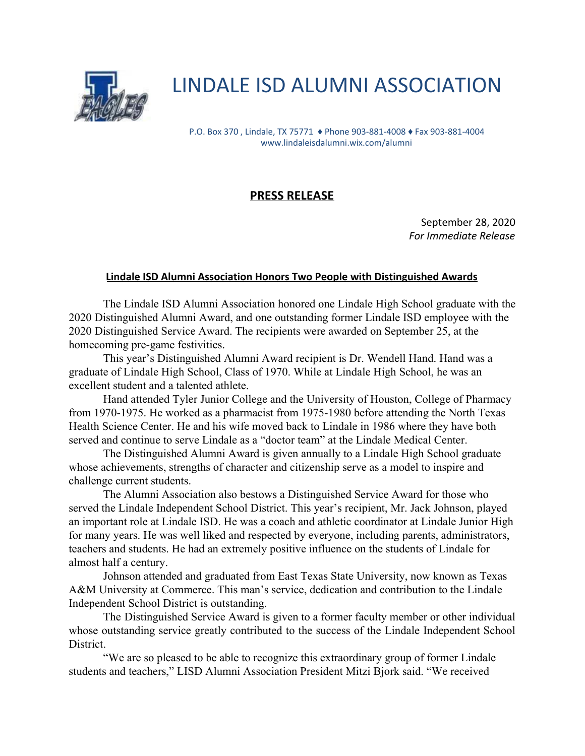

## LINDALE ISD ALUMNI ASSOCIATION

P.O. Box 370 , Lindale, TX 75771 ♦ Phone 903-881-4008 ♦ Fax 903-881-4004 www.lindaleisdalumni.wix.com/alumni

## **PRESS RELEASE**

September 28, 2020 *For Immediate Release*

## **Lindale ISD Alumni Association Honors Two People with Distinguished Awards**

The Lindale ISD Alumni Association honored one Lindale High School graduate with the 2020 Distinguished Alumni Award, and one outstanding former Lindale ISD employee with the 2020 Distinguished Service Award. The recipients were awarded on September 25, at the homecoming pre-game festivities.

This year's Distinguished Alumni Award recipient is Dr. Wendell Hand. Hand was a graduate of Lindale High School, Class of 1970. While at Lindale High School, he was an excellent student and a talented athlete.

Hand attended Tyler Junior College and the University of Houston, College of Pharmacy from 1970-1975. He worked as a pharmacist from 1975-1980 before attending the North Texas Health Science Center. He and his wife moved back to Lindale in 1986 where they have both served and continue to serve Lindale as a "doctor team" at the Lindale Medical Center.

The Distinguished Alumni Award is given annually to a Lindale High School graduate whose achievements, strengths of character and citizenship serve as a model to inspire and challenge current students.

The Alumni Association also bestows a Distinguished Service Award for those who served the Lindale Independent School District. This year's recipient, Mr. Jack Johnson, played an important role at Lindale ISD. He was a coach and athletic coordinator at Lindale Junior High for many years. He was well liked and respected by everyone, including parents, administrators, teachers and students. He had an extremely positive influence on the students of Lindale for almost half a century.

Johnson attended and graduated from East Texas State University, now known as Texas A&M University at Commerce. This man's service, dedication and contribution to the Lindale Independent School District is outstanding.

The Distinguished Service Award is given to a former faculty member or other individual whose outstanding service greatly contributed to the success of the Lindale Independent School District.

"We are so pleased to be able to recognize this extraordinary group of former Lindale students and teachers," LISD Alumni Association President Mitzi Bjork said. "We received